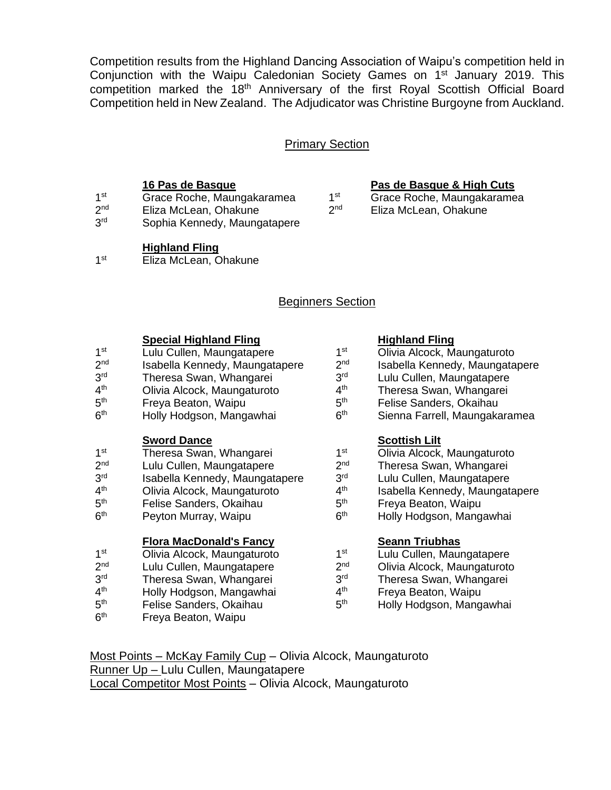Competition results from the Highland Dancing Association of Waipu's competition held in Conjunction with the Waipu Caledonian Society Games on 1<sup>st</sup> January 2019. This competition marked the 18<sup>th</sup> Anniversary of the first Royal Scottish Official Board Competition held in New Zealand. The Adjudicator was Christine Burgoyne from Auckland.

### Primary Section

- $1<sup>st</sup>$ Grace Roche, Maungakaramea 1<sup>st</sup><br>Eliza McLean, Ohakune 2<sup>nd</sup>
- $2<sup>nd</sup>$ Eliza McLean, Ohakune
- 3<sup>rd</sup> Sophia Kennedy, Maungatapere

### **Highland Fling**

 $1<sup>st</sup>$ Eliza McLean, Ohakune

## Beginners Section

# **Special Highland Fling**<br>
Lulu Cullen, Maungatapere **Highland Fling**<br>
Lulu Cullen, Maungatapere 1<sup>st</sup> Olivia Alcock, M

- $1<sup>st</sup>$ Lulu Cullen, Maungatapere
- $2<sub>nd</sub>$ Isabella Kennedy, Maungatapere 2<sup>nd</sup>
- 3rd Theresa Swan, Whangarei 3rd<br>Olivia Alcock. Maungaturoto 4th
- $4<sup>th</sup>$ Olivia Alcock, Maungaturoto 4<sup>th</sup><br>Freva Beaton. Waipu 5<sup>th</sup>
- $5<sup>th</sup>$
- Freya Beaton, Waipu 5<sup>th</sup><br>Holly Hodgson, Mangawhai 6<sup>th</sup>  $6<sup>th</sup>$ Holly Hodgson, Mangawhai

- **Sword Dance Scottish Lilt**  $1<sup>st</sup>$ Theresa Swan, Whangarei
- $2<sup>nd</sup>$ Lulu Cullen, Maungatapere 2<sup>nd</sup><br>Isabella Kennedy, Maungatapere 3<sup>rd</sup>
- 3<sup>rd</sup> Isabella Kennedy, Maungatapere 3rd<br>Olivia Alcock, Maungaturoto 4th
- $4<sup>th</sup>$ Olivia Alcock, Maungaturoto 4<sup>th</sup><br>Felise Sanders, Okaihau 5<sup>th</sup>
- $5<sup>th</sup>$ th Felise Sanders, Okaihau 5
- $6<sup>th</sup>$ Peyton Murray, Waipu

### **Flora MacDonald's Fancy Seann Triubhas**

- $1<sup>st</sup>$ Olivia Alcock, Maungaturoto 1st<br>Lulu Cullen, Maungatapere 2<sup>nd</sup> 2<sup>nd</sup>
- $2<sup>nd</sup>$ Lulu Cullen, Maungatapere  $2^{\text{nd}}$ <br>Theresa Swan. Whangarei 2<sup>rd</sup>
- 3<sup>rd</sup> Theresa Swan, Whangarei
- $4<sup>th</sup>$ Holly Hodgson, Mangawhai  $4<sup>th</sup>$  Felise Sanders, Okaihau
- $5<sup>th</sup>$ Felise Sanders, Okaihau
- $6<sup>th</sup>$ Freya Beaton, Waipu

- Olivia Alcock, Maungaturoto Isabella Kennedy, Maungatapere
- Lulu Cullen, Maungatapere
- Theresa Swan, Whangarei
- Felise Sanders, Okaihau
- Sienna Farrell, Maungakaramea

- Olivia Alcock, Maungaturoto
- Theresa Swan, Whangarei
- Lulu Cullen, Maungatapere
- Isabella Kennedy, Maungatapere
- Freya Beaton, Waipu
- Holly Hodgson, Mangawhai

- Lulu Cullen, Maungatapere
- Olivia Alcock, Maungaturoto
- Theresa Swan, Whangarei
- Freya Beaton, Waipu
- Holly Hodgson, Mangawhai

Most Points – McKay Family Cup – Olivia Alcock, Maungaturoto Runner Up – Lulu Cullen, Maungatapere Local Competitor Most Points – Olivia Alcock, Maungaturoto

### **16 Pas de Basque Pas de Basque & High Cuts**

Grace Roche, Maungakaramea Eliza McLean, Ohakune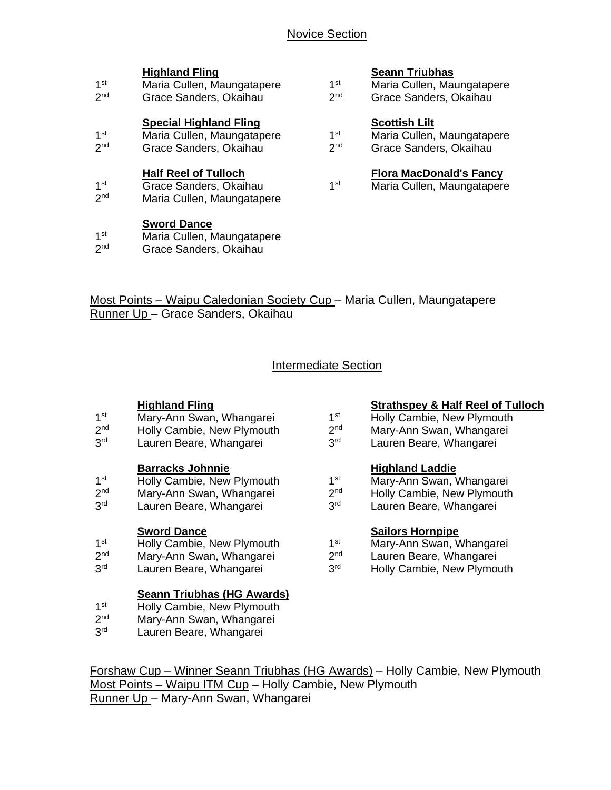| 1st<br>2 <sub>nd</sub>             | Maria Cullen, Maungatapere<br>Grace Sanders, Okaihau                                  | 1st<br>2 <sub>nd</sub>             | Maria Cullen, Maungataper<br>Grace Sanders, Okaihau                         |
|------------------------------------|---------------------------------------------------------------------------------------|------------------------------------|-----------------------------------------------------------------------------|
| 1 <sup>st</sup><br>2 <sub>nd</sub> | <b>Special Highland Fling</b><br>Maria Cullen, Maungatapere<br>Grace Sanders, Okaihau | 1 <sup>st</sup><br>2 <sub>nd</sub> | <b>Scottish Lilt</b><br>Maria Cullen, Maungataper<br>Grace Sanders, Okaihau |
| 1st<br>2 <sub>nd</sub>             | <b>Half Reel of Tulloch</b><br>Grace Sanders, Okaihau<br>Maria Cullen, Maungatapere   | 1 <sup>st</sup>                    | <b>Flora MacDonald's Fancy</b><br>Maria Cullen, Maungataper                 |

### **Sword Dance**

- $1<sup>st</sup>$ Maria Cullen, Maungatapere
- $2<sup>nd</sup>$ Grace Sanders, Okaihau

### **Highland Fling Seann Triubhas**

| st | Maria Cullen, Maungatapere |
|----|----------------------------|
| nd | Out to October Obsibility  |

- 
- st Maria Cullen, Maungatapere
- 

Most Points – Waipu Caledonian Society Cup – Maria Cullen, Maungatapere Runner Up – Grace Sanders, Okaihau

## Intermediate Section

- $1<sup>st</sup>$ Mary-Ann Swan, Whangarei 1st<br>Holly Cambie, New Plymouth 2<sup>nd</sup>
- $2<sub>nd</sub>$ Holly Cambie, New Plymouth 2<sup>nd</sup><br>Lauren Beare, Whangarei 2<sup>rd</sup>
- 3<sup>rd</sup> Lauren Beare, Whangarei

### **Barracks Johnnie Highland Laddie**

- $1<sup>st</sup>$ Holly Cambie, New Plymouth 1st
- $2<sub>nd</sub>$ Mary-Ann Swan, Whangarei 2<sup>nd</sup><br>Lauren Beare. Whangarei 2<sup>3d</sup>
- 3<sup>rd</sup> Lauren Beare, Whangarei

- **Sword Dance Sailors Hornpipe**  $1<sup>st</sup>$ Holly Cambie, New Plymouth
- $2<sup>nd</sup>$ Mary-Ann Swan, Whangarei 2nd
- $3<sup>rd</sup>$ Lauren Beare, Whangarei 3rd

### **Seann Triubhas (HG Awards)**

- $1<sup>st</sup>$ Holly Cambie, New Plymouth
- $2<sub>nd</sub>$ Mary-Ann Swan, Whangarei
- 3<sup>rd</sup> Lauren Beare, Whangarei

# **Highland Fling**<br>Mary-Ann Swan, Whangarei<br>1<sup>st</sup> Holly Cambie, New Plymouth

- Holly Cambie, New Plymouth
- Mary-Ann Swan, Whangarei
- Lauren Beare, Whangarei

- Mary-Ann Swan, Whangarei
- Holly Cambie, New Plymouth
- Lauren Beare, Whangarei

- Mary-Ann Swan, Whangarei
- Lauren Beare, Whangarei
- Holly Cambie, New Plymouth

Forshaw Cup – Winner Seann Triubhas (HG Awards) – Holly Cambie, New Plymouth Most Points – Waipu ITM Cup – Holly Cambie, New Plymouth Runner Up – Mary-Ann Swan, Whangarei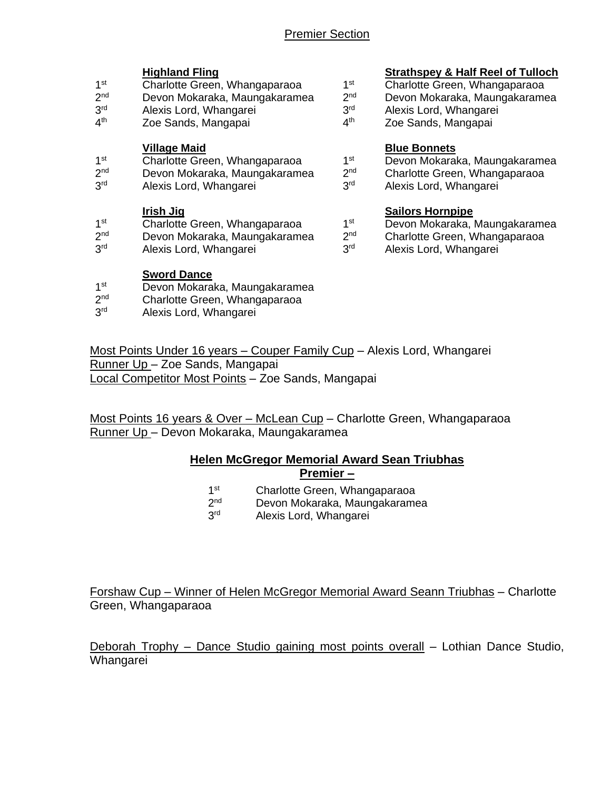- $1<sup>st</sup>$ Charlotte Green, Whangaparaoa an 1<sup>st</sup><br>Devon Mokaraka, Maungakaramea 2<sup>nd</sup>
- $2<sub>nd</sub>$ Devon Mokaraka, Maungakaramea 2<sup>nd</sup><br>Alexis Lord. Whangarei 2015
- $3<sup>rd</sup>$ rd Alexis Lord, Whangarei 3
- $4<sup>th</sup>$ Zoe Sands, Mangapai

- **Village Maid**<br>Charlotte Green, Whangaparaoa and a state of Devon Mokara  $1<sup>st</sup>$ Charlotte Green, Whangaparaoa
- $2<sub>nd</sub>$ Devon Mokaraka, Maungakaramea 2<sup>nd</sup>
- 3rd Alexis Lord, Whangarei 3rd

- **Irish Jig Sailors Hornpipe**  $1<sup>st</sup>$ Charlotte Green, Whangaparaoa 15thet Charlotte Green, Whangaparaoa 15thet 2nd
- $2<sup>nd</sup>$ Devon Mokaraka, Maungakaramea
- 3<sup>rd</sup> Alexis Lord, Whangarei 3rd

### **Sword Dance**

- $1<sup>st</sup>$ Devon Mokaraka, Maungakaramea
- $2<sub>nd</sub>$ Charlotte Green, Whangaparaoa
- $2rd$ Alexis Lord, Whangarei

# **Highland Fling Strathspey & Half Reel of Tulloch**

- Charlotte Green, Whangaparaoa
- Devon Mokaraka, Maungakaramea
- Alexis Lord, Whangarei
- Zoe Sands, Mangapai

- Devon Mokaraka, Maungakaramea
- Charlotte Green, Whangaparaoa
- Alexis Lord, Whangarei

- Devon Mokaraka, Maungakaramea
- Charlotte Green, Whangaparaoa
- Alexis Lord, Whangarei

Most Points Under 16 years – Couper Family Cup – Alexis Lord, Whangarei Runner Up – Zoe Sands, Mangapai Local Competitor Most Points – Zoe Sands, Mangapai

Most Points 16 years & Over – McLean Cup – Charlotte Green, Whangaparaoa Runner Up – Devon Mokaraka, Maungakaramea

### **Helen McGregor Memorial Award Sean Triubhas Premier –**

- $1<sup>st</sup>$ Charlotte Green, Whangaparaoa
- $2<sub>nd</sub>$ Devon Mokaraka, Maungakaramea
- 3<sup>rd</sup> Alexis Lord, Whangarei

Forshaw Cup – Winner of Helen McGregor Memorial Award Seann Triubhas – Charlotte Green, Whangaparaoa

Deborah Trophy – Dance Studio gaining most points overall – Lothian Dance Studio, Whangarei